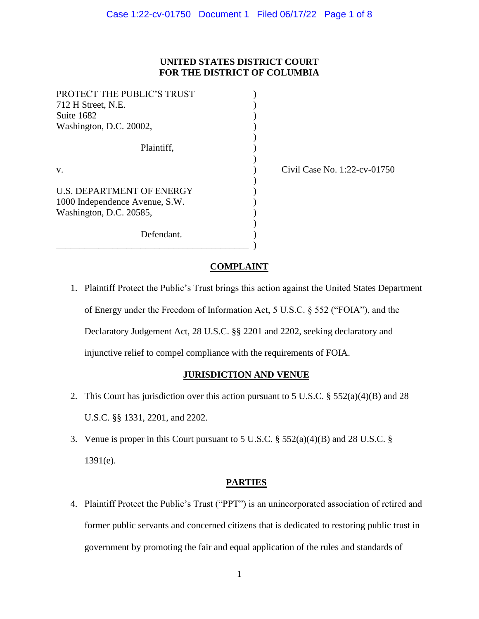## **UNITED STATES DISTRICT COURT FOR THE DISTRICT OF COLUMBIA**

)

)

)

| PROTECT THE PUBLIC'S TRUST       |  |
|----------------------------------|--|
| 712 H Street, N.E.               |  |
| Suite 1682                       |  |
| Washington, D.C. 20002,          |  |
|                                  |  |
| Plaintiff,                       |  |
|                                  |  |
| V.                               |  |
|                                  |  |
| <b>U.S. DEPARTMENT OF ENERGY</b> |  |
| 1000 Independence Avenue, S.W.   |  |
| Washington, D.C. 20585,          |  |
|                                  |  |
| Defendant.                       |  |

\_\_\_\_\_\_\_\_\_\_\_\_\_\_\_\_\_\_\_\_\_\_\_\_\_\_\_\_\_\_\_\_\_\_\_\_\_\_\_\_\_ )

(b) Civil Case No. 1:22-cv-01750

# **COMPLAINT**

1. Plaintiff Protect the Public's Trust brings this action against the United States Department of Energy under the Freedom of Information Act, 5 U.S.C. § 552 ("FOIA"), and the Declaratory Judgement Act, 28 U.S.C. §§ 2201 and 2202, seeking declaratory and injunctive relief to compel compliance with the requirements of FOIA.

### **JURISDICTION AND VENUE**

- 2. This Court has jurisdiction over this action pursuant to 5 U.S.C. § 552(a)(4)(B) and 28 U.S.C. §§ 1331, 2201, and 2202.
- 3. Venue is proper in this Court pursuant to 5 U.S.C. § 552(a)(4)(B) and 28 U.S.C. § 1391(e).

### **PARTIES**

4. Plaintiff Protect the Public's Trust ("PPT") is an unincorporated association of retired and former public servants and concerned citizens that is dedicated to restoring public trust in government by promoting the fair and equal application of the rules and standards of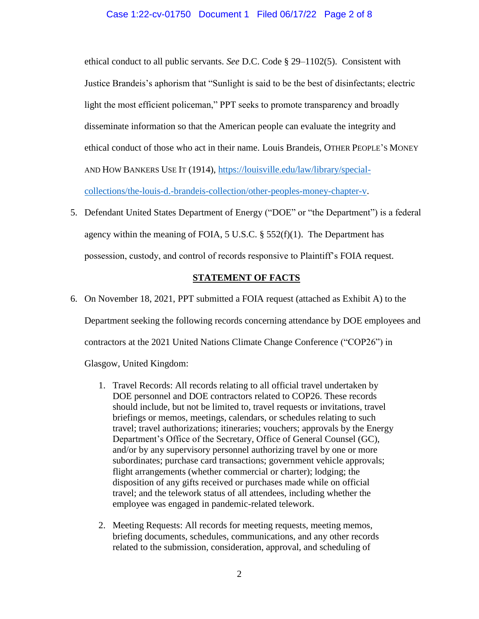#### Case 1:22-cv-01750 Document 1 Filed 06/17/22 Page 2 of 8

ethical conduct to all public servants. *See* D.C. Code § 29–1102(5). Consistent with Justice Brandeis's aphorism that "Sunlight is said to be the best of disinfectants; electric light the most efficient policeman," PPT seeks to promote transparency and broadly disseminate information so that the American people can evaluate the integrity and ethical conduct of those who act in their name. Louis Brandeis, OTHER PEOPLE'S MONEY AND HOW BANKERS USE IT (1914), [https://louisville.edu/law/library/special](https://louisville.edu/law/library/special-collections/the-louis-d.-brandeis-collection/other-peoples-money-chapter-v)[collections/the-louis-d.-brandeis-collection/other-peoples-money-chapter-v.](https://louisville.edu/law/library/special-collections/the-louis-d.-brandeis-collection/other-peoples-money-chapter-v)

5. Defendant United States Department of Energy ("DOE" or "the Department") is a federal agency within the meaning of FOIA,  $5 \text{ U.S.C.}$   $\S$   $552(f)(1)$ . The Department has possession, custody, and control of records responsive to Plaintiff's FOIA request.

#### **STATEMENT OF FACTS**

- 6. On November 18, 2021, PPT submitted a FOIA request (attached as Exhibit A) to the Department seeking the following records concerning attendance by DOE employees and contractors at the 2021 United Nations Climate Change Conference ("COP26") in Glasgow, United Kingdom:
	- 1. Travel Records: All records relating to all official travel undertaken by DOE personnel and DOE contractors related to COP26. These records should include, but not be limited to, travel requests or invitations, travel briefings or memos, meetings, calendars, or schedules relating to such travel; travel authorizations; itineraries; vouchers; approvals by the Energy Department's Office of the Secretary, Office of General Counsel (GC), and/or by any supervisory personnel authorizing travel by one or more subordinates; purchase card transactions; government vehicle approvals; flight arrangements (whether commercial or charter); lodging; the disposition of any gifts received or purchases made while on official travel; and the telework status of all attendees, including whether the employee was engaged in pandemic-related telework.
	- 2. Meeting Requests: All records for meeting requests, meeting memos, briefing documents, schedules, communications, and any other records related to the submission, consideration, approval, and scheduling of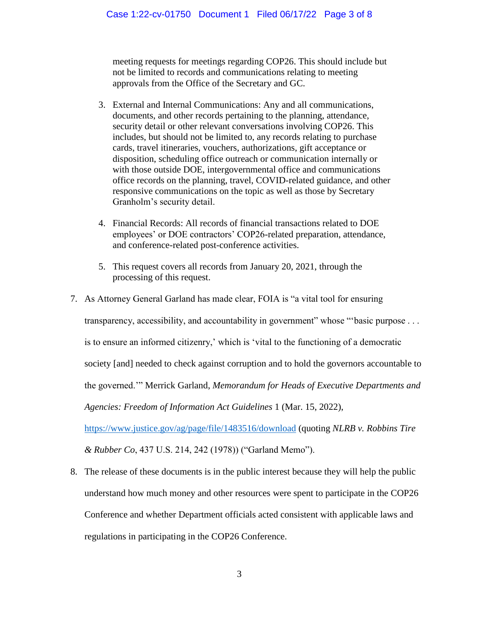meeting requests for meetings regarding COP26. This should include but not be limited to records and communications relating to meeting approvals from the Office of the Secretary and GC.

- 3. External and Internal Communications: Any and all communications, documents, and other records pertaining to the planning, attendance, security detail or other relevant conversations involving COP26. This includes, but should not be limited to, any records relating to purchase cards, travel itineraries, vouchers, authorizations, gift acceptance or disposition, scheduling office outreach or communication internally or with those outside DOE, intergovernmental office and communications office records on the planning, travel, COVID-related guidance, and other responsive communications on the topic as well as those by Secretary Granholm's security detail.
- 4. Financial Records: All records of financial transactions related to DOE employees' or DOE contractors' COP26-related preparation, attendance, and conference-related post-conference activities.
- 5. This request covers all records from January 20, 2021, through the processing of this request.
- 7. As Attorney General Garland has made clear, FOIA is "a vital tool for ensuring

transparency, accessibility, and accountability in government" whose "'basic purpose ...

is to ensure an informed citizenry,' which is 'vital to the functioning of a democratic

society [and] needed to check against corruption and to hold the governors accountable to

the governed.'" Merrick Garland, *Memorandum for Heads of Executive Departments and* 

*Agencies: Freedom of Information Act Guidelines* 1 (Mar. 15, 2022),

<https://www.justice.gov/ag/page/file/1483516/download> (quoting *NLRB v. Robbins Tire* 

*& Rubber Co*, 437 U.S. 214, 242 (1978)) ("Garland Memo").

8. The release of these documents is in the public interest because they will help the public understand how much money and other resources were spent to participate in the COP26 Conference and whether Department officials acted consistent with applicable laws and regulations in participating in the COP26 Conference.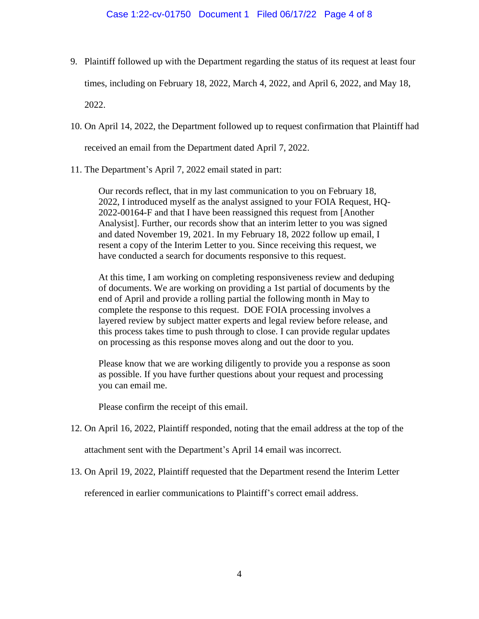- 9. Plaintiff followed up with the Department regarding the status of its request at least four times, including on February 18, 2022, March 4, 2022, and April 6, 2022, and May 18, 2022.
- 10. On April 14, 2022, the Department followed up to request confirmation that Plaintiff had

received an email from the Department dated April 7, 2022.

11. The Department's April 7, 2022 email stated in part:

Our records reflect, that in my last communication to you on February 18, 2022, I introduced myself as the analyst assigned to your FOIA Request, HQ-2022-00164-F and that I have been reassigned this request from [Another Analysist]. Further, our records show that an interim letter to you was signed and dated November 19, 2021. In my February 18, 2022 follow up email, I resent a copy of the Interim Letter to you. Since receiving this request, we have conducted a search for documents responsive to this request.

At this time, I am working on completing responsiveness review and deduping of documents. We are working on providing a 1st partial of documents by the end of April and provide a rolling partial the following month in May to complete the response to this request. DOE FOIA processing involves a layered review by subject matter experts and legal review before release, and this process takes time to push through to close. I can provide regular updates on processing as this response moves along and out the door to you.

Please know that we are working diligently to provide you a response as soon as possible. If you have further questions about your request and processing you can email me.

Please confirm the receipt of this email.

12. On April 16, 2022, Plaintiff responded, noting that the email address at the top of the

attachment sent with the Department's April 14 email was incorrect.

13. On April 19, 2022, Plaintiff requested that the Department resend the Interim Letter

referenced in earlier communications to Plaintiff's correct email address.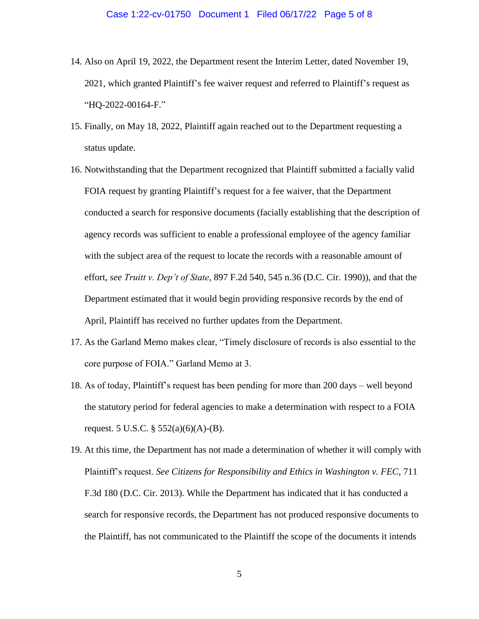- 14. Also on April 19, 2022, the Department resent the Interim Letter, dated November 19, 2021, which granted Plaintiff's fee waiver request and referred to Plaintiff's request as "HQ-2022-00164-F."
- 15. Finally, on May 18, 2022, Plaintiff again reached out to the Department requesting a status update.
- 16. Notwithstanding that the Department recognized that Plaintiff submitted a facially valid FOIA request by granting Plaintiff's request for a fee waiver, that the Department conducted a search for responsive documents (facially establishing that the description of agency records was sufficient to enable a professional employee of the agency familiar with the subject area of the request to locate the records with a reasonable amount of effort, *see Truitt v. Dep't of State*, 897 F.2d 540, 545 n.36 (D.C. Cir. 1990)), and that the Department estimated that it would begin providing responsive records by the end of April, Plaintiff has received no further updates from the Department.
- 17. As the Garland Memo makes clear, "Timely disclosure of records is also essential to the core purpose of FOIA." Garland Memo at 3.
- 18. As of today, Plaintiff's request has been pending for more than 200 days well beyond the statutory period for federal agencies to make a determination with respect to a FOIA request. 5 U.S.C.  $\S$  552(a)(6)(A)-(B).
- 19. At this time, the Department has not made a determination of whether it will comply with Plaintiff's request. *See Citizens for Responsibility and Ethics in Washington v. FEC*, 711 F.3d 180 (D.C. Cir. 2013). While the Department has indicated that it has conducted a search for responsive records, the Department has not produced responsive documents to the Plaintiff, has not communicated to the Plaintiff the scope of the documents it intends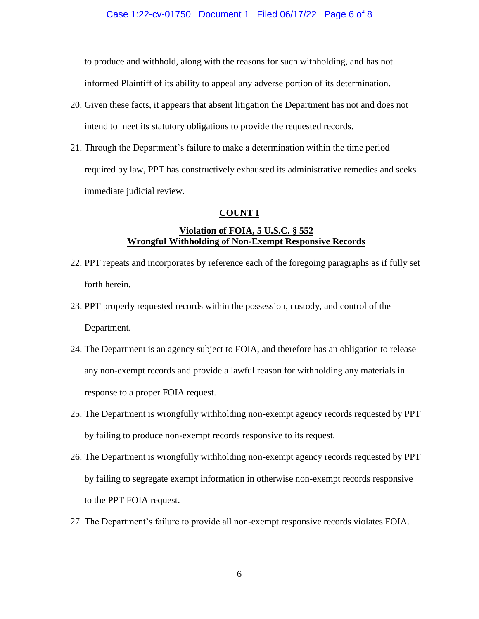#### Case 1:22-cv-01750 Document 1 Filed 06/17/22 Page 6 of 8

to produce and withhold, along with the reasons for such withholding, and has not informed Plaintiff of its ability to appeal any adverse portion of its determination.

- 20. Given these facts, it appears that absent litigation the Department has not and does not intend to meet its statutory obligations to provide the requested records.
- 21. Through the Department's failure to make a determination within the time period required by law, PPT has constructively exhausted its administrative remedies and seeks immediate judicial review.

#### **COUNT I**

### **Violation of FOIA, 5 U.S.C. § 552 Wrongful Withholding of Non-Exempt Responsive Records**

- 22. PPT repeats and incorporates by reference each of the foregoing paragraphs as if fully set forth herein.
- 23. PPT properly requested records within the possession, custody, and control of the Department.
- 24. The Department is an agency subject to FOIA, and therefore has an obligation to release any non-exempt records and provide a lawful reason for withholding any materials in response to a proper FOIA request.
- 25. The Department is wrongfully withholding non-exempt agency records requested by PPT by failing to produce non-exempt records responsive to its request.
- 26. The Department is wrongfully withholding non-exempt agency records requested by PPT by failing to segregate exempt information in otherwise non-exempt records responsive to the PPT FOIA request.
- 27. The Department's failure to provide all non-exempt responsive records violates FOIA.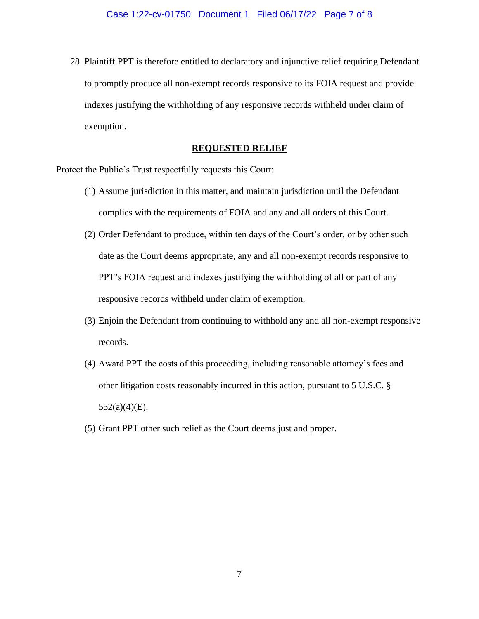28. Plaintiff PPT is therefore entitled to declaratory and injunctive relief requiring Defendant to promptly produce all non-exempt records responsive to its FOIA request and provide indexes justifying the withholding of any responsive records withheld under claim of exemption.

### **REQUESTED RELIEF**

Protect the Public's Trust respectfully requests this Court:

- (1) Assume jurisdiction in this matter, and maintain jurisdiction until the Defendant complies with the requirements of FOIA and any and all orders of this Court.
- (2) Order Defendant to produce, within ten days of the Court's order, or by other such date as the Court deems appropriate, any and all non-exempt records responsive to PPT's FOIA request and indexes justifying the withholding of all or part of any responsive records withheld under claim of exemption.
- (3) Enjoin the Defendant from continuing to withhold any and all non-exempt responsive records.
- (4) Award PPT the costs of this proceeding, including reasonable attorney's fees and other litigation costs reasonably incurred in this action, pursuant to 5 U.S.C. §  $552(a)(4)(E)$ .
- (5) Grant PPT other such relief as the Court deems just and proper.